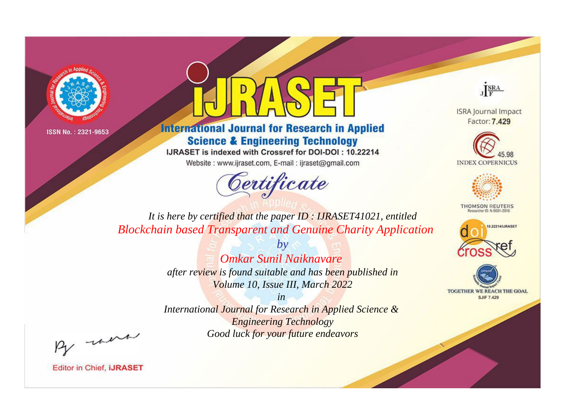



**International Journal for Research in Applied Science & Engineering Technology** 

IJRASET is indexed with Crossref for DOI-DOI: 10.22214

Website: www.ijraset.com, E-mail: ijraset@gmail.com



JERA

**ISRA Journal Impact** Factor: 7.429





**THOMSON REUTERS** 



TOGETHER WE REACH THE GOAL **SJIF 7.429** 

It is here by certified that the paper ID: IJRASET41021, entitled **Blockchain based Transparent and Genuine Charity Application** 

> $b\nu$ **Omkar Sunil Naiknavare** after review is found suitable and has been published in Volume 10, Issue III, March 2022

> $in$ International Journal for Research in Applied Science & **Engineering Technology** Good luck for your future endeavors

By morn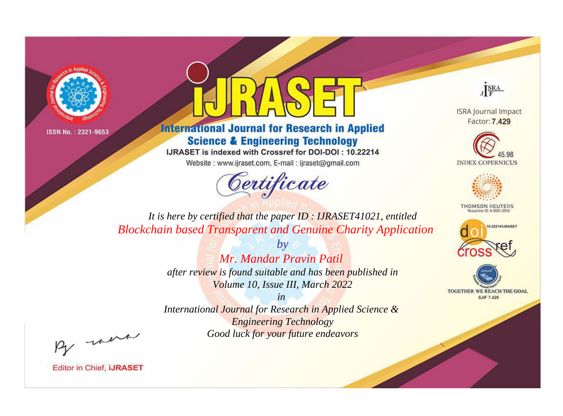



**International Journal for Research in Applied Science & Engineering Technology** 

IJRASET is indexed with Crossref for DOI-DOI: 10.22214

Website: www.ijraset.com, E-mail: ijraset@gmail.com



JERA

**ISRA Journal Impact** Factor: 7.429





**THOMSON REUTERS** 



TOGETHER WE REACH THE GOAL **SJIF 7.429** 

*It is here by certified that the paper ID : IJRASET41021, entitled Blockchain based Transparent and Genuine Charity Application*

> *by Mr. Mandar Pravin Patil after review is found suitable and has been published in Volume 10, Issue III, March 2022*

> *in International Journal for Research in Applied Science &*

*Engineering Technology Good luck for your future endeavors*

By morn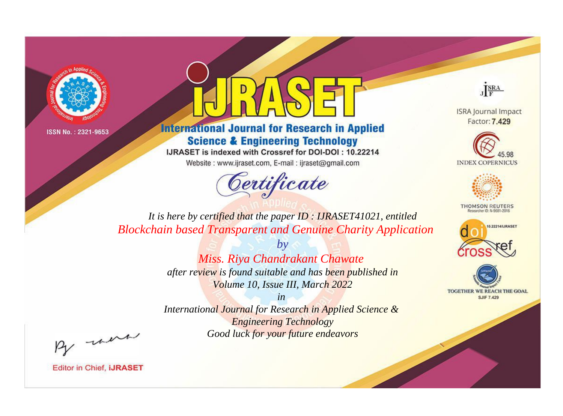



## **International Journal for Research in Applied Science & Engineering Technology**

IJRASET is indexed with Crossref for DOI-DOI: 10.22214

Website: www.ijraset.com, E-mail: ijraset@gmail.com



JERA

**ISRA Journal Impact** Factor: 7.429





**THOMSON REUTERS** 



TOGETHER WE REACH THE GOAL **SJIF 7.429** 

*It is here by certified that the paper ID : IJRASET41021, entitled Blockchain based Transparent and Genuine Charity Application*

> *by Miss. Riya Chandrakant Chawate after review is found suitable and has been published in Volume 10, Issue III, March 2022*

> > *in*

*International Journal for Research in Applied Science & Engineering Technology Good luck for your future endeavors*

By morn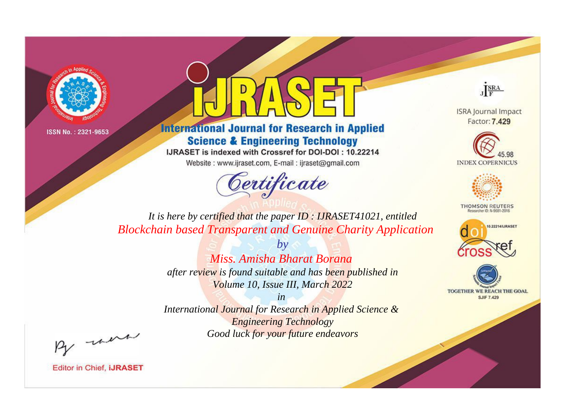



**International Journal for Research in Applied Science & Engineering Technology** 

IJRASET is indexed with Crossref for DOI-DOI: 10.22214

Website: www.ijraset.com, E-mail: ijraset@gmail.com



JERA

**ISRA Journal Impact** Factor: 7.429





**THOMSON REUTERS** 



TOGETHER WE REACH THE GOAL **SJIF 7.429** 

*It is here by certified that the paper ID : IJRASET41021, entitled Blockchain based Transparent and Genuine Charity Application*

> *by Miss. Amisha Bharat Borana after review is found suitable and has been published in Volume 10, Issue III, March 2022*

> > *in*

*International Journal for Research in Applied Science & Engineering Technology Good luck for your future endeavors*

By morn